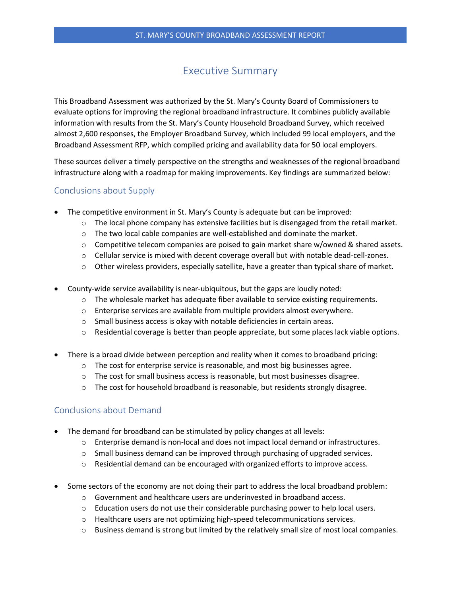## Executive Summary

This Broadband Assessment was authorized by the St. Mary's County Board of Commissioners to evaluate options for improving the regional broadband infrastructure. It combines publicly available information with results from the St. Mary's County Household Broadband Survey, which received almost 2,600 responses, the Employer Broadband Survey, which included 99 local employers, and the Broadband Assessment RFP, which compiled pricing and availability data for 50 local employers.

These sources deliver a timely perspective on the strengths and weaknesses of the regional broadband infrastructure along with a roadmap for making improvements. Key findings are summarized below:

## Conclusions about Supply

- The competitive environment in St. Mary's County is adequate but can be improved:
	- $\circ$  The local phone company has extensive facilities but is disengaged from the retail market.
	- $\circ$  The two local cable companies are well-established and dominate the market.
	- $\circ$  Competitive telecom companies are poised to gain market share w/owned & shared assets.
	- $\circ$  Cellular service is mixed with decent coverage overall but with notable dead-cell-zones.
	- $\circ$  Other wireless providers, especially satellite, have a greater than typical share of market.
- County-wide service availability is near-ubiquitous, but the gaps are loudly noted:
	- $\circ$  The wholesale market has adequate fiber available to service existing requirements.
	- o Enterprise services are available from multiple providers almost everywhere.
	- $\circ$  Small business access is okay with notable deficiencies in certain areas.
	- $\circ$  Residential coverage is better than people appreciate, but some places lack viable options.
- There is a broad divide between perception and reality when it comes to broadband pricing:
	- $\circ$  The cost for enterprise service is reasonable, and most big businesses agree.
	- o The cost for small business access is reasonable, but most businesses disagree.
	- $\circ$  The cost for household broadband is reasonable, but residents strongly disagree.

## Conclusions about Demand

- The demand for broadband can be stimulated by policy changes at all levels:
	- $\circ$  Enterprise demand is non-local and does not impact local demand or infrastructures.
	- $\circ$  Small business demand can be improved through purchasing of upgraded services.
	- $\circ$  Residential demand can be encouraged with organized efforts to improve access.
- Some sectors of the economy are not doing their part to address the local broadband problem:
	- o Government and healthcare users are underinvested in broadband access.
	- $\circ$  Education users do not use their considerable purchasing power to help local users.
	- o Healthcare users are not optimizing high-speed telecommunications services.
	- o Business demand is strong but limited by the relatively small size of most local companies.